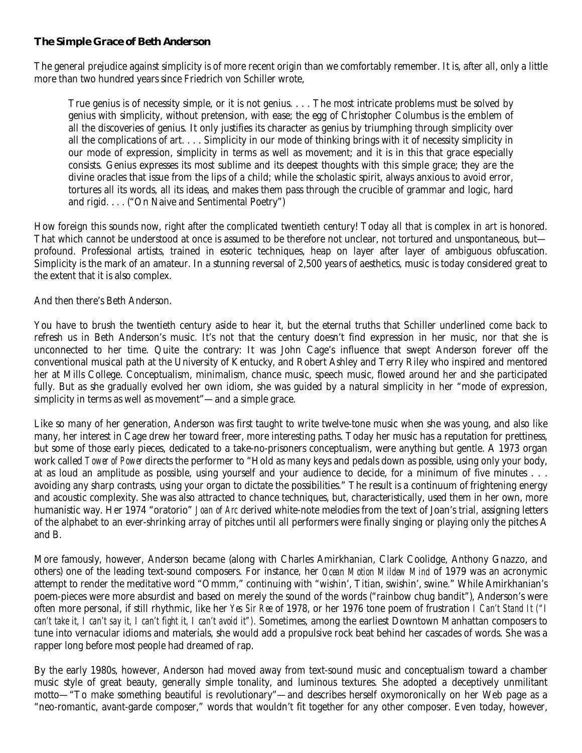## **The Simple Grace of Beth Anderson**

The general prejudice against simplicity is of more recent origin than we comfortably remember. It is, after all, only a little more than two hundred years since Friedrich von Schiller wrote,

True genius is of necessity simple, or it is not genius. . . . The most intricate problems must be solved by genius with simplicity, without pretension, with ease; the egg of Christopher Columbus is the emblem of all the discoveries of genius. It only justifies its character as genius by triumphing through simplicity over all the complications of art. . . . Simplicity in our mode of thinking brings with it of necessity simplicity in our mode of expression, simplicity in terms as well as movement; and it is in this that grace especially consists. Genius expresses its most sublime and its deepest thoughts with this simple grace; they are the divine oracles that issue from the lips of a child; while the scholastic spirit, always anxious to avoid error, tortures all its words, all its ideas, and makes them pass through the crucible of grammar and logic, hard and rigid. . . . ("On Naive and Sentimental Poetry")

How foreign this sounds now, right after the complicated twentieth century! Today all that is complex in art is honored. That which cannot be understood at once is assumed to be therefore not unclear, not tortured and unspontaneous, but profound. Professional artists, trained in esoteric techniques, heap on layer after layer of ambiguous obfuscation. Simplicity is the mark of an amateur. In a stunning reversal of 2,500 years of aesthetics, music is today considered great to the extent that it is also complex.

And then there's Beth Anderson.

You have to brush the twentieth century aside to hear it, but the eternal truths that Schiller underlined come back to refresh us in Beth Anderson's music. It's not that the century doesn't find expression in her music, nor that she is unconnected to her time. Quite the contrary: It was John Cage's influence that swept Anderson forever off the conventional musical path at the University of Kentucky, and Robert Ashley and Terry Riley who inspired and mentored her at Mills College. Conceptualism, minimalism, chance music, speech music, flowed around her and she participated fully. But as she gradually evolved her own idiom, she was guided by a natural simplicity in her "mode of expression, simplicity in terms as well as movement"—and a simple grace.

Like so many of her generation, Anderson was first taught to write twelve-tone music when she was young, and also like many, her interest in Cage drew her toward freer, more interesting paths. Today her music has a reputation for prettiness, but some of those early pieces, dedicated to a take-no-prisoners conceptualism, were anything but gentle. A 1973 organ work called *Tower of Power* directs the performer to "Hold as many keys and pedals down as possible, using only your body, at as loud an amplitude as possible, using yourself and your audience to decide, for a minimum of five minutes . . . avoiding any sharp contrasts, using your organ to dictate the possibilities." The result is a continuum of frightening energy and acoustic complexity. She was also attracted to chance techniques, but, characteristically, used them in her own, more humanistic way. Her 1974 "oratorio" *Joan of Arc* derived white-note melodies from the text of Joan's trial, assigning letters of the alphabet to an ever-shrinking array of pitches until all performers were finally singing or playing only the pitches A and B.

More famously, however, Anderson became (along with Charles Amirkhanian, Clark Coolidge, Anthony Gnazzo, and others) one of the leading text-sound composers. For instance, her *Ocean Motion Mildew Mind* of 1979 was an acronymic attempt to render the meditative word "Ommm," continuing with "wishin', Titian, swishin', swine." While Amirkhanian's poem-pieces were more absurdist and based on merely the sound of the words ("rainbow chug bandit"), Anderson's were often more personal, if still rhythmic, like her *Yes Sir Ree* of 1978, or her 1976 tone poem of frustration *I Can't Stand It ("I can't take it, I can't say it, I can't fight it, I can't avoid it").* Sometimes, among the earliest Downtown Manhattan composers to tune into vernacular idioms and materials, she would add a propulsive rock beat behind her cascades of words. She was a rapper long before most people had dreamed of rap.

By the early 1980s, however, Anderson had moved away from text-sound music and conceptualism toward a chamber music style of great beauty, generally simple tonality, and luminous textures. She adopted a deceptively unmilitant motto—"To make something beautiful is revolutionary"—and describes herself oxymoronically on her Web page as a "neo-romantic, avant-garde composer," words that wouldn't fit together for any other composer. Even today, however,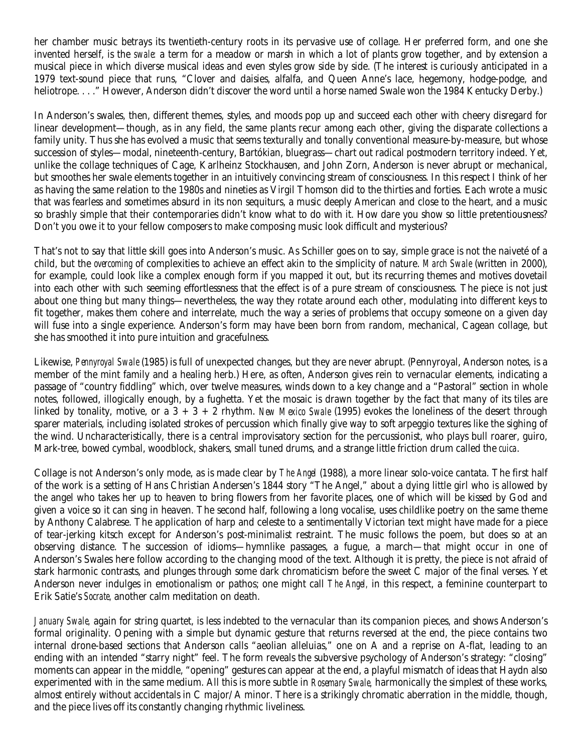her chamber music betrays its twentieth-century roots in its pervasive use of collage. Her preferred form, and one she invented herself, is the *swale:* a term for a meadow or marsh in which a lot of plants grow together, and by extension a musical piece in which diverse musical ideas and even styles grow side by side. (The interest is curiously anticipated in a 1979 text-sound piece that runs, "Clover and daisies, alfalfa, and Queen Anne's lace, hegemony, hodge-podge, and heliotrope. . . ." However, Anderson didn't discover the word until a horse named Swale won the 1984 Kentucky Derby.)

In Anderson's swales, then, different themes, styles, and moods pop up and succeed each other with cheery disregard for linear development—though, as in any field, the same plants recur among each other, giving the disparate collections a family unity. Thus she has evolved a music that seems texturally and tonally conventional measure-by-measure, but whose succession of styles—modal, nineteenth-century, Bartókian, bluegrass—chart out radical postmodern territory indeed. Yet, unlike the collage techniques of Cage, Karlheinz Stockhausen, and John Zorn, Anderson is never abrupt or mechanical, but smoothes her swale elements together in an intuitively convincing stream of consciousness. In this respect I think of her as having the same relation to the 1980s and nineties as Virgil Thomson did to the thirties and forties. Each wrote a music that was fearless and sometimes absurd in its non sequiturs, a music deeply American and close to the heart, and a music so brashly simple that their contemporaries didn't know what to do with it. How dare you show so little pretentiousness? Don't you owe it to your fellow composers to make composing music look difficult and mysterious?

That's not to say that little skill goes into Anderson's music. As Schiller goes on to say, simple grace is not the naiveté of a child, but the *overcoming* of complexities to achieve an effect akin to the simplicity of nature. *March Swale* (written in 2000), for example, could look like a complex enough form if you mapped it out, but its recurring themes and motives dovetail into each other with such seeming effortlessness that the effect is of a pure stream of consciousness. The piece is not just about one thing but many things—nevertheless, the way they rotate around each other, modulating into different keys to fit together, makes them cohere and interrelate, much the way a series of problems that occupy someone on a given day will fuse into a single experience. Anderson's form may have been born from random, mechanical, Cagean collage, but she has smoothed it into pure intuition and gracefulness.

Likewise, *Pennyroyal Swale* (1985) is full of unexpected changes, but they are never abrupt. (Pennyroyal, Anderson notes, is a member of the mint family and a healing herb.) Here, as often, Anderson gives rein to vernacular elements, indicating a passage of "country fiddling" which, over twelve measures, winds down to a key change and a "Pastoral" section in whole notes, followed, illogically enough, by a fughetta. Yet the mosaic is drawn together by the fact that many of its tiles are linked by tonality, motive, or a 3 + 3 + 2 rhythm. *New Mexico Swale* (1995) evokes the loneliness of the desert through sparer materials, including isolated strokes of percussion which finally give way to soft arpeggio textures like the sighing of the wind. Uncharacteristically, there is a central improvisatory section for the percussionist, who plays bull roarer, guiro, Mark-tree, bowed cymbal, woodblock, shakers, small tuned drums, and a strange little friction drum called the *cuica*.

Collage is not Anderson's only mode, as is made clear by *The Angel* (1988), a more linear solo-voice cantata. The first half of the work is a setting of Hans Christian Andersen's 1844 story "The Angel," about a dying little girl who is allowed by the angel who takes her up to heaven to bring flowers from her favorite places, one of which will be kissed by God and given a voice so it can sing in heaven. The second half, following a long vocalise, uses childlike poetry on the same theme by Anthony Calabrese. The application of harp and celeste to a sentimentally Victorian text might have made for a piece of tear-jerking kitsch except for Anderson's post-minimalist restraint. The music follows the poem, but does so at an observing distance. The succession of idioms—hymnlike passages, a fugue, a march—that might occur in one of Anderson's Swales here follow according to the changing mood of the text. Although it is pretty, the piece is not afraid of stark harmonic contrasts, and plunges through some dark chromaticism before the sweet C major of the final verses. Yet Anderson never indulges in emotionalism or pathos; one might call *The Angel,* in this respect, a feminine counterpart to Erik Satie's *Socrate,* another calm meditation on death.

*January Swale,* again for string quartet, is less indebted to the vernacular than its companion pieces, and shows Anderson's formal originality. Opening with a simple but dynamic gesture that returns reversed at the end, the piece contains two internal drone-based sections that Anderson calls "aeolian alleluias," one on A and a reprise on A-flat, leading to an ending with an intended "starry night" feel. The form reveals the subversive psychology of Anderson's strategy: "closing" moments can appear in the middle, "opening" gestures can appear at the end, a playful mismatch of ideas that Haydn also experimented with in the same medium. All this is more subtle in *Rosemary Swale,* harmonically the simplest of these works, almost entirely without accidentals in C major/A minor. There is a strikingly chromatic aberration in the middle, though, and the piece lives off its constantly changing rhythmic liveliness.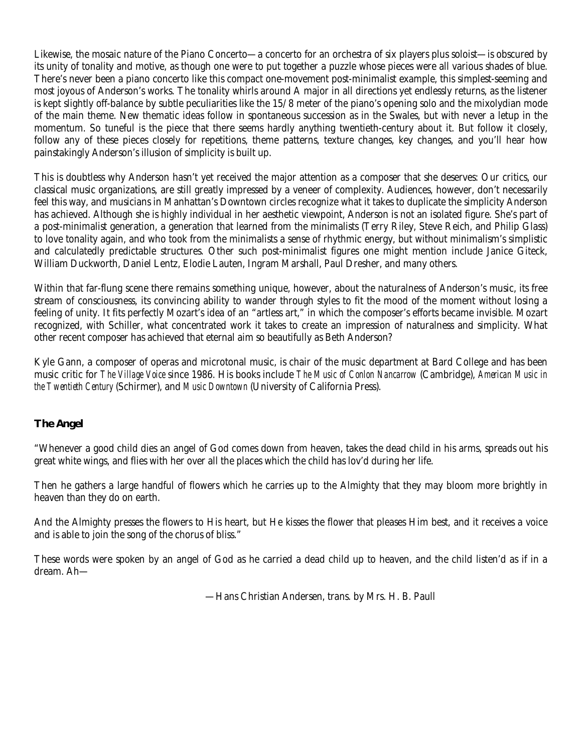Likewise, the mosaic nature of the Piano Concerto—a concerto for an orchestra of six players plus soloist—is obscured by its unity of tonality and motive, as though one were to put together a puzzle whose pieces were all various shades of blue. There's never been a piano concerto like this compact one-movement post-minimalist example, this simplest-seeming and most joyous of Anderson's works. The tonality whirls around A major in all directions yet endlessly returns, as the listener is kept slightly off-balance by subtle peculiarities like the 15/8 meter of the piano's opening solo and the mixolydian mode of the main theme. New thematic ideas follow in spontaneous succession as in the Swales, but with never a letup in the momentum. So tuneful is the piece that there seems hardly anything twentieth-century about it. But follow it closely, follow any of these pieces closely for repetitions, theme patterns, texture changes, key changes, and you'll hear how painstakingly Anderson's illusion of simplicity is built up.

This is doubtless why Anderson hasn't yet received the major attention as a composer that she deserves: Our critics, our classical music organizations, are still greatly impressed by a veneer of complexity. Audiences, however, don't necessarily feel this way, and musicians in Manhattan's Downtown circles recognize what it takes to duplicate the simplicity Anderson has achieved. Although she is highly individual in her aesthetic viewpoint, Anderson is not an isolated figure. She's part of a post-minimalist generation, a generation that learned from the minimalists (Terry Riley, Steve Reich, and Philip Glass) to love tonality again, and who took from the minimalists a sense of rhythmic energy, but without minimalism's simplistic and calculatedly predictable structures. Other such post-minimalist figures one might mention include Janice Giteck, William Duckworth, Daniel Lentz, Elodie Lauten, Ingram Marshall, Paul Dresher, and many others.

Within that far-flung scene there remains something unique, however, about the naturalness of Anderson's music, its free stream of consciousness, its convincing ability to wander through styles to fit the mood of the moment without losing a feeling of unity. It fits perfectly Mozart's idea of an "artless art," in which the composer's efforts became invisible. Mozart recognized, with Schiller, what concentrated work it takes to create an impression of naturalness and simplicity. What other recent composer has achieved that eternal aim so beautifully as Beth Anderson?

Kyle Gann, a composer of operas and microtonal music, is chair of the music department at Bard College and has been music critic for *The Village Voice* since 1986. His books include *The Music of Conlon Nancarrow* (Cambridge), *American Music in the Twentieth Century* (Schirmer), and *Music Downtown* (University of California Press).

# **The Angel**

"Whenever a good child dies an angel of God comes down from heaven, takes the dead child in his arms, spreads out his great white wings, and flies with her over all the places which the child has lov'd during her life.

Then he gathers a large handful of flowers which he carries up to the Almighty that they may bloom more brightly in heaven than they do on earth.

And the Almighty presses the flowers to His heart, but He kisses the flower that pleases Him best, and it receives a voice and is able to join the song of the chorus of bliss."

These words were spoken by an angel of God as he carried a dead child up to heaven, and the child listen'd as if in a dream. Ah—

—Hans Christian Andersen, trans. by Mrs. H. B. Paull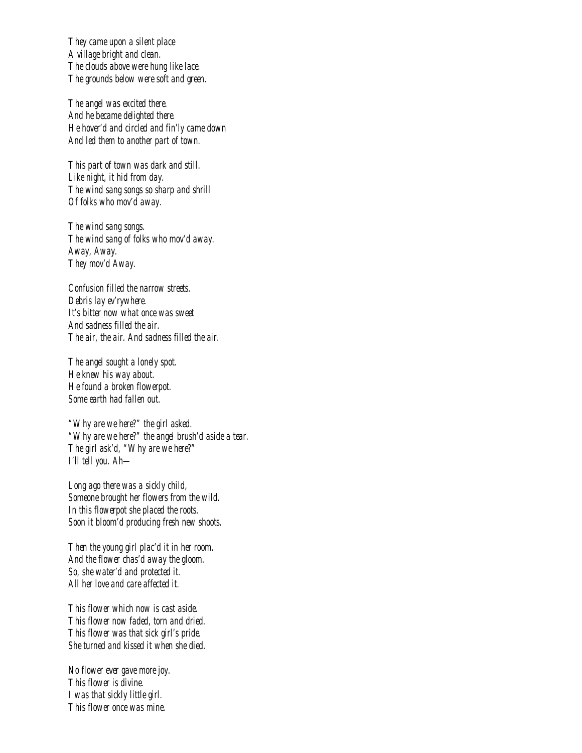*They came upon a silent place A village bright and clean. The clouds above were hung like lace. The grounds below were soft and green.* 

 *The angel was excited there. And he became delighted there. He hover'd and circled and fin'ly came down And led them to another part of town.* 

 *This part of town was dark and still. Like night, it hid from day. The wind sang songs so sharp and shrill Of folks who mov'd away.* 

 *The wind sang songs. The wind sang of folks who mov'd away. Away, Away. They mov'd Away.* 

 *Confusion filled the narrow streets. Debris lay ev'rywhere. It's bitter now what once was sweet And sadness filled the air. The air, the air. And sadness filled the air.* 

 *The angel sought a lonely spot. He knew his way about. He found a broken flowerpot. Some earth had fallen out.* 

 *"Why are we here?" the girl asked. "Why are we here?" the angel brush'd aside a tear. The girl ask'd, "Why are we here?" I'll tell you. Ah—* 

 *Long ago there was a sickly child, Someone brought her flowers from the wild. In this flowerpot she placed the roots. Soon it bloom'd producing fresh new shoots.* 

 *Then the young girl plac'd it in her room. And the flower chas'd away the gloom. So, she water'd and protected it. All her love and care affected it.* 

 *This flower which now is cast aside. This flower now faded, torn and dried. This flower was that sick girl's pride. She turned and kissed it when she died.* 

 *No flower ever gave more joy. This flower is divine. I was that sickly little girl. This flower once was mine.*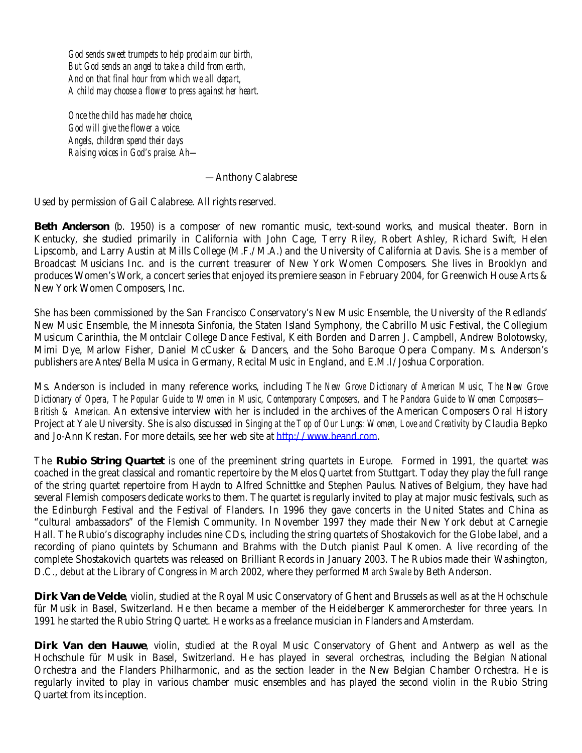*God sends sweet trumpets to help proclaim our birth, But God sends an angel to take a child from earth, And on that final hour from which we all depart, A child may choose a flower to press against her heart.* 

 *Once the child has made her choice, God will give the flower a voice. Angels, children spend their days Raising voices in God's praise. Ah—* 

—Anthony Calabrese

Used by permission of Gail Calabrese. All rights reserved.

**Beth Anderson** (b. 1950) is a composer of new romantic music, text-sound works, and musical theater. Born in Kentucky, she studied primarily in California with John Cage, Terry Riley, Robert Ashley, Richard Swift, Helen Lipscomb, and Larry Austin at Mills College (M.F./M.A.) and the University of California at Davis. She is a member of Broadcast Musicians Inc. and is the current treasurer of New York Women Composers. She lives in Brooklyn and produces Women's Work, a concert series that enjoyed its premiere season in February 2004, for Greenwich House Arts & New York Women Composers, Inc.

She has been commissioned by the San Francisco Conservatory's New Music Ensemble, the University of the Redlands' New Music Ensemble, the Minnesota Sinfonia, the Staten Island Symphony, the Cabrillo Music Festival, the Collegium Musicum Carinthia, the Montclair College Dance Festival, Keith Borden and Darren J. Campbell, Andrew Bolotowsky, Mimi Dye, Marlow Fisher, Daniel McCusker & Dancers, and the Soho Baroque Opera Company. Ms. Anderson's publishers are Antes/Bella Musica in Germany, Recital Music in England, and E.M.I/Joshua Corporation.

Ms. Anderson is included in many reference works, including *The New Grove Dictionary of American Music, The New Grove Dictionary of Opera, The Popular Guide to Women in Music, Contemporary Composers,* and *The Pandora Guide to Women Composers— British & American.* An extensive interview with her is included in the archives of the American Composers Oral History Project at Yale University. She is also discussed in *Singing at the Top of Our Lungs: Women, Love and Creativity* by Claudia Bepko and Jo-Ann Krestan. For more details, see her web site at http://www.beand.com.

The **Rubio String Quartet** is one of the preeminent string quartets in Europe. Formed in 1991, the quartet was coached in the great classical and romantic repertoire by the Melos Quartet from Stuttgart. Today they play the full range of the string quartet repertoire from Haydn to Alfred Schnittke and Stephen Paulus. Natives of Belgium, they have had several Flemish composers dedicate works to them. The quartet is regularly invited to play at major music festivals, such as the Edinburgh Festival and the Festival of Flanders. In 1996 they gave concerts in the United States and China as "cultural ambassadors" of the Flemish Community. In November 1997 they made their New York debut at Carnegie Hall. The Rubio's discography includes nine CDs, including the string quartets of Shostakovich for the Globe label, and a recording of piano quintets by Schumann and Brahms with the Dutch pianist Paul Komen. A live recording of the complete Shostakovich quartets was released on Brilliant Records in January 2003. The Rubios made their Washington, D.C., debut at the Library of Congress in March 2002, where they performed *March Swale* by Beth Anderson.

**Dirk Van de Velde**, violin, studied at the Royal Music Conservatory of Ghent and Brussels as well as at the Hochschule für Musik in Basel, Switzerland. He then became a member of the Heidelberger Kammerorchester for three years. In 1991 he started the Rubio String Quartet. He works as a freelance musician in Flanders and Amsterdam.

**Dirk Van den Hauwe**, violin, studied at the Royal Music Conservatory of Ghent and Antwerp as well as the Hochschule für Musik in Basel, Switzerland. He has played in several orchestras, including the Belgian National Orchestra and the Flanders Philharmonic, and as the section leader in the New Belgian Chamber Orchestra. He is regularly invited to play in various chamber music ensembles and has played the second violin in the Rubio String Quartet from its inception.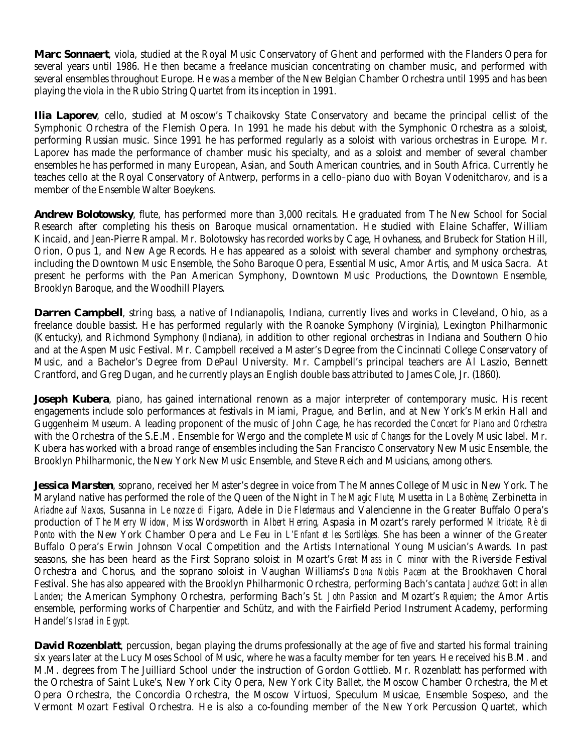**Marc Sonnaert**, viola, studied at the Royal Music Conservatory of Ghent and performed with the Flanders Opera for several years until 1986. He then became a freelance musician concentrating on chamber music, and performed with several ensembles throughout Europe. He was a member of the New Belgian Chamber Orchestra until 1995 and has been playing the viola in the Rubio String Quartet from its inception in 1991.

**Ilia Laporev**, cello, studied at Moscow's Tchaikovsky State Conservatory and became the principal cellist of the Symphonic Orchestra of the Flemish Opera. In 1991 he made his debut with the Symphonic Orchestra as a soloist, performing Russian music. Since 1991 he has performed regularly as a soloist with various orchestras in Europe. Mr. Laporev has made the performance of chamber music his specialty, and as a soloist and member of several chamber ensembles he has performed in many European, Asian, and South American countries, and in South Africa. Currently he teaches cello at the Royal Conservatory of Antwerp, performs in a cello–piano duo with Boyan Vodenitcharov, and is a member of the Ensemble Walter Boeykens.

**Andrew Bolotowsky**, flute, has performed more than 3,000 recitals. He graduated from The New School for Social Research after completing his thesis on Baroque musical ornamentation. He studied with Elaine Schaffer, William Kincaid, and Jean-Pierre Rampal. Mr. Bolotowsky has recorded works by Cage, Hovhaness, and Brubeck for Station Hill, Orion, Opus 1, and New Age Records. He has appeared as a soloist with several chamber and symphony orchestras, including the Downtown Music Ensemble, the Soho Baroque Opera, Essential Music, Amor Artis, and Musica Sacra. At present he performs with the Pan American Symphony, Downtown Music Productions, the Downtown Ensemble, Brooklyn Baroque, and the Woodhill Players.

**Darren Campbell**, string bass, a native of Indianapolis, Indiana, currently lives and works in Cleveland, Ohio, as a freelance double bassist. He has performed regularly with the Roanoke Symphony (Virginia), Lexington Philharmonic (Kentucky), and Richmond Symphony (Indiana), in addition to other regional orchestras in Indiana and Southern Ohio and at the Aspen Music Festival. Mr. Campbell received a Master's Degree from the Cincinnati College Conservatory of Music, and a Bachelor's Degree from DePaul University. Mr. Campbell's principal teachers are Al Laszio, Bennett Crantford, and Greg Dugan, and he currently plays an English double bass attributed to James Cole, Jr. (1860).

**Joseph Kubera**, piano, has gained international renown as a major interpreter of contemporary music. His recent engagements include solo performances at festivals in Miami, Prague, and Berlin, and at New York's Merkin Hall and Guggenheim Museum. A leading proponent of the music of John Cage, he has recorded the *Concert for Piano and Orchestra* with the Orchestra of the S.E.M. Ensemble for Wergo and the complete *Music of Changes* for the Lovely Music label. Mr. Kubera has worked with a broad range of ensembles including the San Francisco Conservatory New Music Ensemble, the Brooklyn Philharmonic, the New York New Music Ensemble, and Steve Reich and Musicians, among others.

**Jessica Marsten**, soprano, received her Master's degree in voice from The Mannes College of Music in New York. The Maryland native has performed the role of the Queen of the Night in *The Magic Flute,* Musetta in *La Bohème,* Zerbinetta in *Ariadne auf Naxos,* Susanna in *Le nozze di Figaro,* Adele in *Die Fledermaus* and Valencienne in the Greater Buffalo Opera's production of *The Merry Widow,* Miss Wordsworth in *Albert Herring,* Aspasia in Mozart's rarely performed *Mitridate, Rè di Ponto* with the New York Chamber Opera and Le Feu in *L'Enfant et les Sortilèges.* She has been a winner of the Greater Buffalo Opera's Erwin Johnson Vocal Competition and the Artists International Young Musician's Awards. In past seasons, she has been heard as the First Soprano soloist in Mozart's *Great Mass in C minor* with the Riverside Festival Orchestra and Chorus, and the soprano soloist in Vaughan Williams's *Dona Nobis Pacem* at the Brookhaven Choral Festival. She has also appeared with the Brooklyn Philharmonic Orchestra, performing Bach's cantata *Jauchzet Gott in allen Landen*; the American Symphony Orchestra, performing Bach's *St. John Passion* and Mozart's *Requiem*; the Amor Artis ensemble, performing works of Charpentier and Schütz, and with the Fairfield Period Instrument Academy, performing Handel's *Israel in Egypt.*

**David Rozenblatt**, percussion, began playing the drums professionally at the age of five and started his formal training six years later at the Lucy Moses School of Music, where he was a faculty member for ten years. He received his B.M. and M.M. degrees from The Juilliard School under the instruction of Gordon Gottlieb. Mr. Rozenblatt has performed with the Orchestra of Saint Luke's, New York City Opera, New York City Ballet, the Moscow Chamber Orchestra, the Met Opera Orchestra, the Concordia Orchestra, the Moscow Virtuosi, Speculum Musicae, Ensemble Sospeso, and the Vermont Mozart Festival Orchestra. He is also a co-founding member of the New York Percussion Quartet, which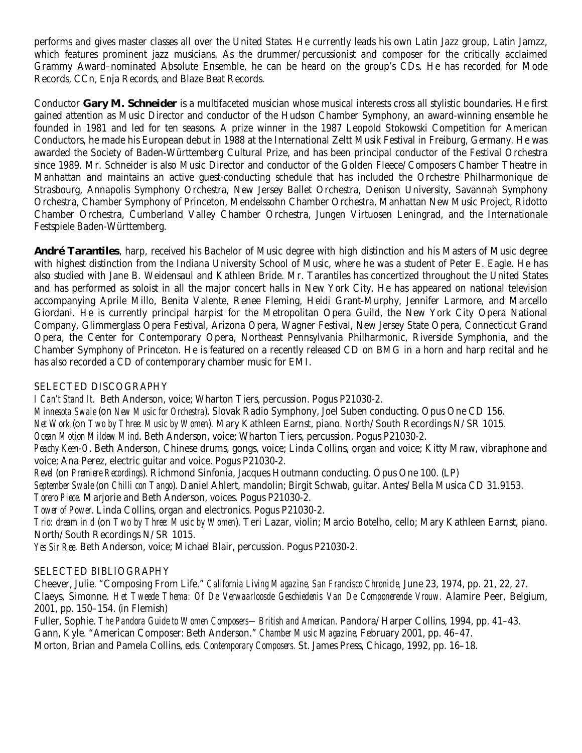performs and gives master classes all over the United States. He currently leads his own Latin Jazz group, Latin Jamzz, which features prominent jazz musicians. As the drummer/percussionist and composer for the critically acclaimed Grammy Award–nominated Absolute Ensemble, he can be heard on the group's CDs. He has recorded for Mode Records, CCn, Enja Records, and Blaze Beat Records.

Conductor **Gary M. Schneider** is a multifaceted musician whose musical interests cross all stylistic boundaries. He first gained attention as Music Director and conductor of the Hudson Chamber Symphony, an award-winning ensemble he founded in 1981 and led for ten seasons. A prize winner in the 1987 Leopold Stokowski Competition for American Conductors, he made his European debut in 1988 at the International Zeltt Musik Festival in Freiburg, Germany. He was awarded the Society of Baden-Württemberg Cultural Prize, and has been principal conductor of the Festival Orchestra since 1989. Mr. Schneider is also Music Director and conductor of the Golden Fleece/Composers Chamber Theatre in Manhattan and maintains an active guest-conducting schedule that has included the Orchestre Philharmonique de Strasbourg, Annapolis Symphony Orchestra, New Jersey Ballet Orchestra, Denison University, Savannah Symphony Orchestra, Chamber Symphony of Princeton, Mendelssohn Chamber Orchestra, Manhattan New Music Project, Ridotto Chamber Orchestra, Cumberland Valley Chamber Orchestra, Jungen Virtuosen Leningrad, and the Internationale Festspiele Baden-Württemberg.

**André Tarantiles**, harp, received his Bachelor of Music degree with high distinction and his Masters of Music degree with highest distinction from the Indiana University School of Music, where he was a student of Peter E. Eagle. He has also studied with Jane B. Weidensaul and Kathleen Bride. Mr. Tarantiles has concertized throughout the United States and has performed as soloist in all the major concert halls in New York City. He has appeared on national television accompanying Aprile Millo, Benita Valente, Renee Fleming, Heidi Grant-Murphy, Jennifer Larmore, and Marcello Giordani. He is currently principal harpist for the Metropolitan Opera Guild, the New York City Opera National Company, Glimmerglass Opera Festival, Arizona Opera, Wagner Festival, New Jersey State Opera, Connecticut Grand Opera, the Center for Contemporary Opera, Northeast Pennsylvania Philharmonic, Riverside Symphonia, and the Chamber Symphony of Princeton. He is featured on a recently released CD on BMG in a horn and harp recital and he has also recorded a CD of contemporary chamber music for EMI.

## SELECTED DISCOGRAPHY

*I Can't Stand It*. Beth Anderson, voice; Wharton Tiers, percussion. Pogus P21030-2.

*Minnesota Swale* (on *New Music for Orchestra*). Slovak Radio Symphony, Joel Suben conducting. Opus One CD 156.

*Net Work* (on *Two by Three: Music by Women*). Mary Kathleen Earnst, piano. North/South Recordings N/SR 1015.

*Ocean Motion Mildew Mind*. Beth Anderson, voice; Wharton Tiers, percussion. Pogus P21030-2.

*Peachy Keen-O*. Beth Anderson, Chinese drums, gongs, voice; Linda Collins, organ and voice; Kitty Mraw, vibraphone and voice; Ana Perez, electric guitar and voice. Pogus P21030-2.

*Revel* (on *Premiere Recordings*). Richmond Sinfonia, Jacques Houtmann conducting. Opus One 100. (LP)

*September Swale* (on *Chilli con Tango*). Daniel Ahlert, mandolin; Birgit Schwab, guitar. Antes/Bella Musica CD 31.9153.

*Torero Piece*. Marjorie and Beth Anderson, voices. Pogus P21030-2.

*Tower of Power*. Linda Collins, organ and electronics. Pogus P21030-2.

*Trio: dream in d* (on *Two by Three: Music by Women*). Teri Lazar, violin; Marcio Botelho, cello; Mary Kathleen Earnst, piano. North/South Recordings N/SR 1015.

*Yes Sir Ree*. Beth Anderson, voice; Michael Blair, percussion. Pogus P21030-2.

## SELECTED BIBLIOGRAPHY

Cheever, Julie. "Composing From Life." *California Living Magazine, San Francisco Chronicle,* June 23, 1974, pp. 21, 22, 27. Claeys, Simonne. *Het Tweede Thema: Of De Verwaarloosde Geschiedenis Van De Componerende Vrouw.* Alamire Peer, Belgium, 2001, pp. 150–154. (in Flemish)

Fuller, Sophie. *The Pandora Guide to Women Composers—British and American.* Pandora/Harper Collins, 1994, pp. 41–43. Gann, Kyle. "American Composer: Beth Anderson." *Chamber Music Magazine,* February 2001, pp. 46–47. Morton, Brian and Pamela Collins, eds. *Contemporary Composers.* St. James Press, Chicago, 1992, pp. 16–18.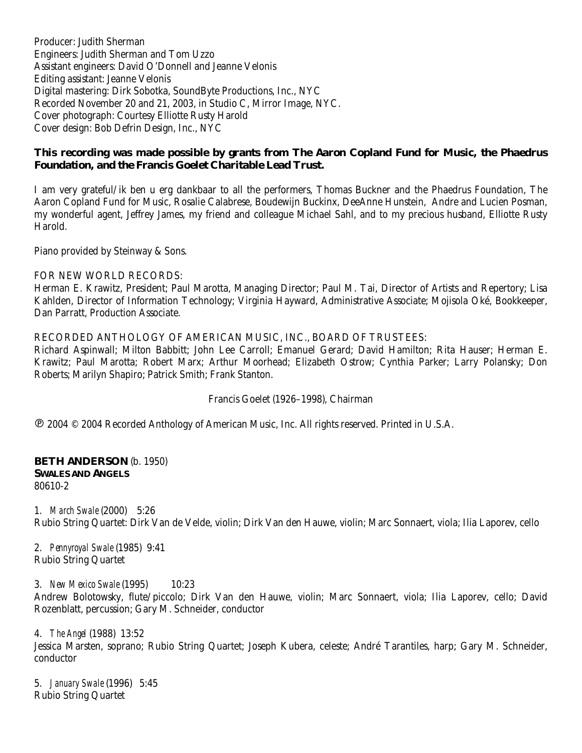Producer: Judith Sherman Engineers: Judith Sherman and Tom Uzzo Assistant engineers: David O'Donnell and Jeanne Velonis Editing assistant: Jeanne Velonis Digital mastering: Dirk Sobotka, SoundByte Productions, Inc., NYC Recorded November 20 and 21, 2003, in Studio C, Mirror Image, NYC. Cover photograph: Courtesy Elliotte Rusty Harold Cover design: Bob Defrin Design, Inc., NYC

## **This recording was made possible by grants from The Aaron Copland Fund for Music, the Phaedrus Foundation, and the Francis Goelet Charitable Lead Trust.**

I am very grateful/ik ben u erg dankbaar to all the performers, Thomas Buckner and the Phaedrus Foundation, The Aaron Copland Fund for Music, Rosalie Calabrese, Boudewijn Buckinx, DeeAnne Hunstein, Andre and Lucien Posman, my wonderful agent, Jeffrey James, my friend and colleague Michael Sahl, and to my precious husband, Elliotte Rusty Harold.

Piano provided by Steinway & Sons.

### FOR NEW WORLD RECORDS:

Herman E. Krawitz, President; Paul Marotta, Managing Director; Paul M. Tai, Director of Artists and Repertory; Lisa Kahlden, Director of Information Technology; Virginia Hayward, Administrative Associate; Mojisola Oké, Bookkeeper, Dan Parratt, Production Associate.

### RECORDED ANTHOLOGY OF AMERICAN MUSIC, INC., BOARD OF TRUSTEES:

Richard Aspinwall; Milton Babbitt; John Lee Carroll; Emanuel Gerard; David Hamilton; Rita Hauser; Herman E. Krawitz; Paul Marotta; Robert Marx; Arthur Moorhead; Elizabeth Ostrow; Cynthia Parker; Larry Polansky; Don Roberts; Marilyn Shapiro; Patrick Smith; Frank Stanton.

### Francis Goelet (1926–1998), Chairman

! 2004 © 2004 Recorded Anthology of American Music, Inc. All rights reserved. Printed in U.S.A.

### **BETH ANDERSON** (b. 1950) **SWALES AND ANGELS** 80610-2

1. *March Swale* (2000) 5:26 Rubio String Quartet: Dirk Van de Velde, violin; Dirk Van den Hauwe, violin; Marc Sonnaert, viola; Ilia Laporev, cello

2. *Pennyroyal Swale* (1985) 9:41 Rubio String Quartet

3. *New Mexico Swale* (1995) 10:23 Andrew Bolotowsky, flute/piccolo; Dirk Van den Hauwe, violin; Marc Sonnaert, viola; Ilia Laporev, cello; David Rozenblatt, percussion; Gary M. Schneider, conductor

4. *The Angel* (1988) 13:52 Jessica Marsten, soprano; Rubio String Quartet; Joseph Kubera, celeste; André Tarantiles, harp; Gary M. Schneider, conductor

5. *January Swale* (1996) 5:45 Rubio String Quartet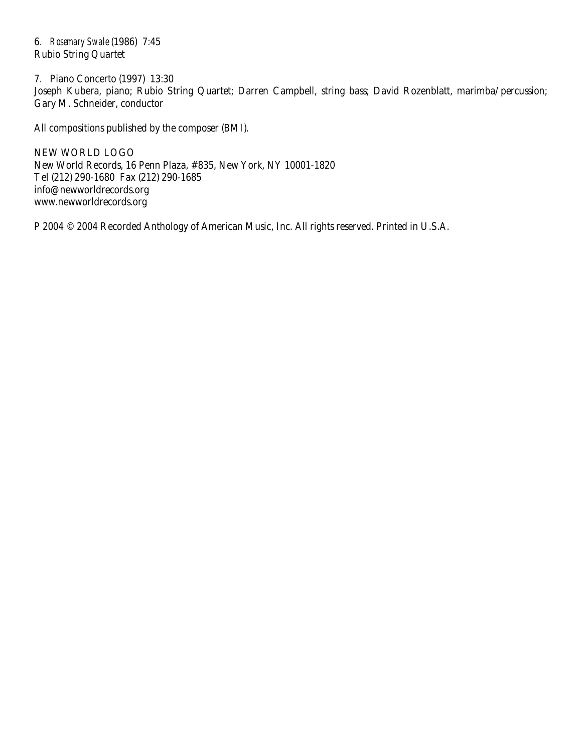6. *Rosemary Swale* (1986) 7:45 Rubio String Quartet

7. Piano Concerto (1997) 13:30 Joseph Kubera, piano; Rubio String Quartet; Darren Campbell, string bass; David Rozenblatt, marimba/percussion; Gary M. Schneider, conductor

All compositions published by the composer (BMI).

NEW WORLD LOGO New World Records, 16 Penn Plaza, #835, New York, NY 10001-1820 Tel (212) 290-1680 Fax (212) 290-1685 info@newworldrecords.org www.newworldrecords.org

P 2004 © 2004 Recorded Anthology of American Music, Inc. All rights reserved. Printed in U.S.A.